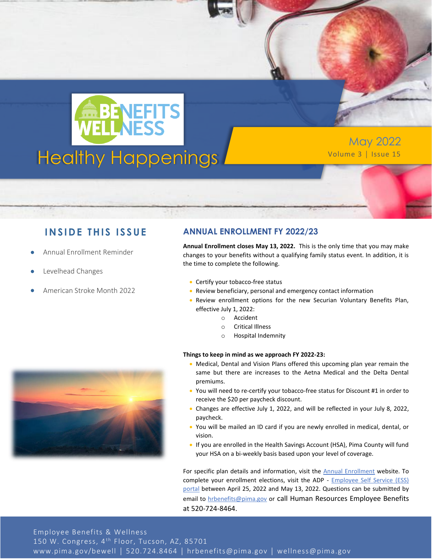

May 2022

#### **INSIDE THIS ISSUE**

- Annual Enrollment Reminder
- Levelhead Changes
- American Stroke Month 2022

#### **ANNUAL ENROLLMENT FY 2022/23**

**Annual Enrollment closes May 13, 2022.** This is the only time that you may make changes to your benefits without a qualifying family status event. In addition, it is the time to complete the following.

- Certify your tobacco-free status
- Review beneficiary, personal and emergency contact information
- Review enrollment options for the new Securian Voluntary Benefits Plan, effective July 1, 2022:
	- o Accident
	- o Critical Illness
	- o Hospital Indemnity

#### **Things to keep in mind as we approach FY 2022-23:**

- Medical, Dental and Vision Plans offered this upcoming plan year remain the same but there are increases to the Aetna Medical and the Delta Dental premiums.
- You will need to re-certify your tobacco-free status for Discount #1 in order to receive the \$20 per paycheck discount.
- Changes are effective July 1, 2022, and will be reflected in your July 8, 2022, paycheck.
- You will be mailed an ID card if you are newly enrolled in medical, dental, or vision.
- If you are enrolled in the Health Savings Account (HSA), Pima County will fund your HSA on a bi-weekly basis based upon your level of coverage.

For specific plan details and information, visit the [Annual Enrollment](https://webcms.pima.gov/cms/One.aspx?portalId=169&pageId=83754) website. To complete your enrollment elections, visit the ADP - [Employee Self Service \(ESS\)](https://online.adp.com/signin/v1/?APPID=HomepagePortal&productId=80e309c3-7078-bae1-e053-3505430b5495&returnURL=https://portal.adp.com/public/index.htm&callingAppId=HomepagePortal)  [portal](https://online.adp.com/signin/v1/?APPID=HomepagePortal&productId=80e309c3-7078-bae1-e053-3505430b5495&returnURL=https://portal.adp.com/public/index.htm&callingAppId=HomepagePortal) between April 25, 2022 and May 13, 2022. Questions can be submitted by email to [hrbenefits@pima.gov](mailto:hrbenefits@pima.gov) or call Human Resources Employee Benefits at 520-724-8464.

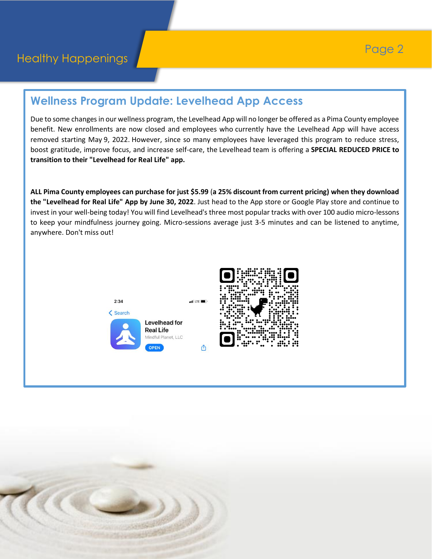### **Wellness Program Update: Levelhead App Access**

Due to some changes in our wellness program, the Levelhead App will no longer be offered as a Pima County employee benefit. New enrollments are now closed and employees who currently have the Levelhead App will have access removed starting May 9, 2022. However, since so many employees have leveraged this program to reduce stress, boost gratitude, improve focus, and increase self-care, the Levelhead team is offering a **SPECIAL REDUCED PRICE to transition to their "Levelhead for Real Life" app.**

**ALL Pima County employees can purchase for just \$5.99** (**a 25% discount from current pricing) when they download the "Levelhead for Real Life" App by June 30, 2022**. Just head to the App store or Google Play store and continue to invest in your well-being today! You will find Levelhead's three most popular tracks with over 100 audio micro-lessons to keep your mindfulness journey going. Micro-sessions average just 3-5 minutes and can be listened to anytime, anywhere. Don't miss out!





௴